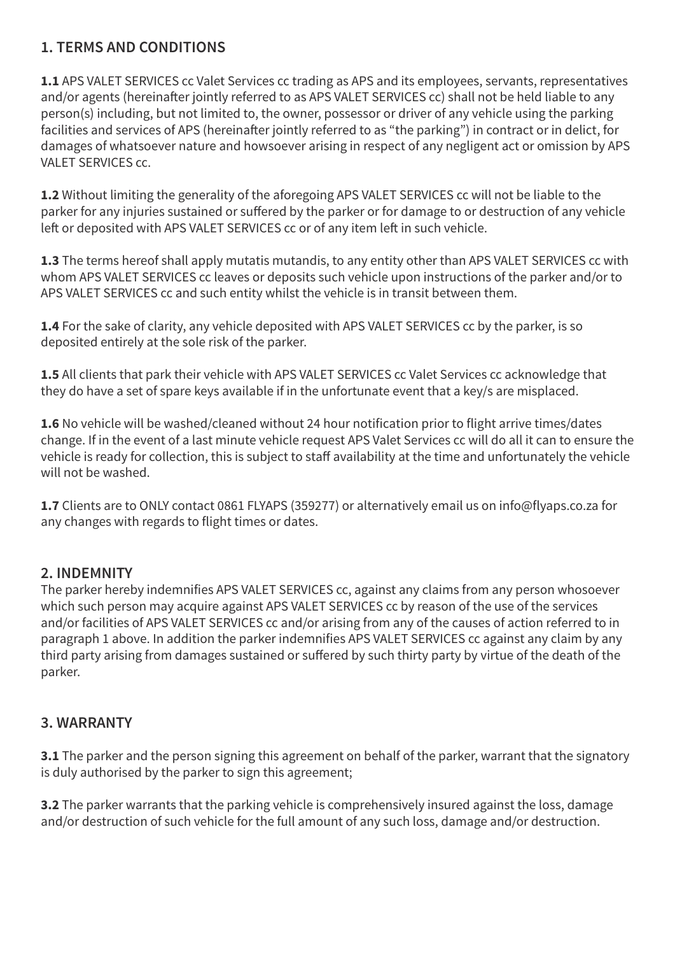### **1. TERMS AND CONDITIONS**

**1.1** APS VALET SERVICES cc Valet Services cc trading as APS and its employees, servants, representatives and/or agents (hereinafter jointly referred to as APS VALET SERVICES cc) shall not be held liable to any person(s) including, but not limited to, the owner, possessor or driver of any vehicle using the parking facilities and services of APS (hereinafter jointly referred to as "the parking") in contract or in delict, for damages of whatsoever nature and howsoever arising in respect of any negligent act or omission by APS VALET SERVICES cc.

**1.2** Without limiting the generality of the aforegoing APS VALET SERVICES cc will not be liable to the parker for any injuries sustained or suffered by the parker or for damage to or destruction of any vehicle left or deposited with APS VALET SERVICES cc or of any item left in such vehicle.

**1.3** The terms hereof shall apply mutatis mutandis, to any entity other than APS VALET SERVICES cc with whom APS VALET SERVICES cc leaves or deposits such vehicle upon instructions of the parker and/or to APS VALET SERVICES cc and such entity whilst the vehicle is in transit between them.

**1.4** For the sake of clarity, any vehicle deposited with APS VALET SERVICES cc by the parker, is so deposited entirely at the sole risk of the parker.

**1.5** All clients that park their vehicle with APS VALET SERVICES cc Valet Services cc acknowledge that they do have a set of spare keys available if in the unfortunate event that a key/s are misplaced.

**1.6** No vehicle will be washed/cleaned without 24 hour notification prior to flight arrive times/dates change. If in the event of a last minute vehicle request APS Valet Services cc will do all it can to ensure the vehicle is ready for collection, this is subject to staff availability at the time and unfortunately the vehicle will not be washed.

**1.7** Clients are to ONLY contact 0861 FLYAPS (359277) or alternatively email us on info@flyaps.co.za for any changes with regards to flight times or dates.

#### **2. INDEMNITY**

The parker hereby indemnifies APS VALET SERVICES cc, against any claims from any person whosoever which such person may acquire against APS VALET SERVICES cc by reason of the use of the services and/or facilities of APS VALET SERVICES cc and/or arising from any of the causes of action referred to in paragraph 1 above. In addition the parker indemnifies APS VALET SERVICES cc against any claim by any third party arising from damages sustained or suffered by such thirty party by virtue of the death of the parker.

#### **3. WARRANTY**

**3.1** The parker and the person signing this agreement on behalf of the parker, warrant that the signatory is duly authorised by the parker to sign this agreement;

**3.2** The parker warrants that the parking vehicle is comprehensively insured against the loss, damage and/or destruction of such vehicle for the full amount of any such loss, damage and/or destruction.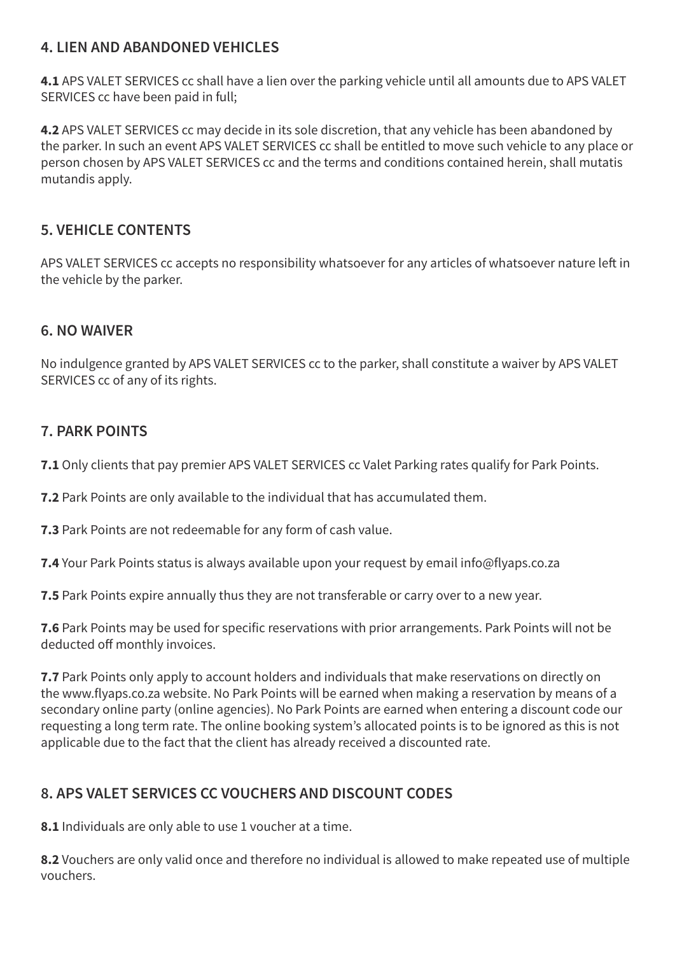#### **4. LIEN AND ABANDONED VEHICLES**

**4.1** APS VALET SERVICES cc shall have a lien over the parking vehicle until all amounts due to APS VALET SERVICES cc have been paid in full;

**4.2** APS VALET SERVICES cc may decide in its sole discretion, that any vehicle has been abandoned by the parker. In such an event APS VALET SERVICES cc shall be entitled to move such vehicle to any place or person chosen by APS VALET SERVICES cc and the terms and conditions contained herein, shall mutatis mutandis apply.

# **5. VEHICLE CONTENTS**

APS VALET SERVICES cc accepts no responsibility whatsoever for any articles of whatsoever nature left in the vehicle by the parker.

#### **6. NO WAIVER**

No indulgence granted by APS VALET SERVICES cc to the parker, shall constitute a waiver by APS VALET SERVICES cc of any of its rights.

# **7. PARK POINTS**

**7.1** Only clients that pay premier APS VALET SERVICES cc Valet Parking rates qualify for Park Points.

**7.2** Park Points are only available to the individual that has accumulated them.

**7.3** Park Points are not redeemable for any form of cash value.

**7.4** Your Park Points status is always available upon your request by email info@flyaps.co.za

**7.5** Park Points expire annually thus they are not transferable or carry over to a new year.

**7.6** Park Points may be used for specific reservations with prior arrangements. Park Points will not be deducted off monthly invoices.

**7.7** Park Points only apply to account holders and individuals that make reservations on directly on the www.flyaps.co.za website. No Park Points will be earned when making a reservation by means of a secondary online party (online agencies). No Park Points are earned when entering a discount code our requesting a long term rate. The online booking system's allocated points is to be ignored as this is not applicable due to the fact that the client has already received a discounted rate.

# **8. APS VALET SERVICES CC VOUCHERS AND DISCOUNT CODES**

**8.1** Individuals are only able to use 1 voucher at a time.

**8.2** Vouchers are only valid once and therefore no individual is allowed to make repeated use of multiple vouchers.